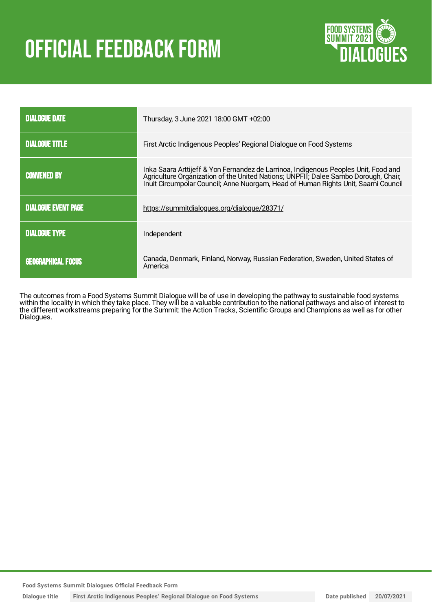# **OFFICIAL FEEDBACK FORM**



| <b>DIALOGUE DATE</b>       | Thursday, 3 June 2021 18:00 GMT +02:00                                                                                                                                                                                                                          |
|----------------------------|-----------------------------------------------------------------------------------------------------------------------------------------------------------------------------------------------------------------------------------------------------------------|
| <b>DIALOGUE TITLE</b>      | First Arctic Indigenous Peoples' Regional Dialogue on Food Systems                                                                                                                                                                                              |
| <b>CONVENED BY</b>         | Inka Saara Arttijeff & Yon Fernandez de Larrinoa, Indigenous Peoples Unit, Food and<br>Agriculture Organization of the United Nations; UNPFII; Dalee Sambo Dorough, Chair,<br>Inuit Circumpolar Council; Anne Nuorgam, Head of Human Rights Unit, Saami Council |
| <b>DIALOGUE EVENT PAGE</b> | https://summitdialogues.org/dialogue/28371/                                                                                                                                                                                                                     |
| <b>DIALOGUE TYPE</b>       | Independent                                                                                                                                                                                                                                                     |
| <b>GEOGRAPHICAL FOCUS</b>  | Canada, Denmark, Finland, Norway, Russian Federation, Sweden, United States of<br>America                                                                                                                                                                       |

The outcomes from a Food Systems Summit Dialogue will be of use in developing the pathway to sustainable food systems within the locality in which they take place. They will be a valuable contribution to the national pathways and also of interest to the different workstreams preparing for the Summit: the Action Tracks, Scientific Groups and Champions as well as for other Dialogues.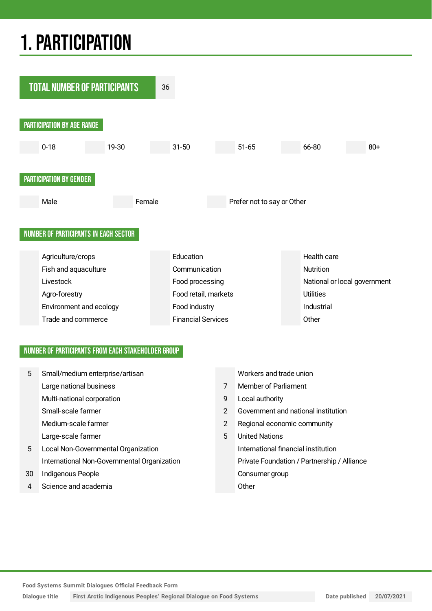## 1.PARTICIPATION



#### NUMBER OF PARTICIPANTS FROM EACH STAKEHOLDER GROUP

| 5  | Small/medium enterprise/artisan             |               | Workers and trade union                     |
|----|---------------------------------------------|---------------|---------------------------------------------|
|    | Large national business                     | 7             | Member of Parliament                        |
|    | Multi-national corporation                  | 9             | Local authority                             |
|    | Small-scale farmer                          | $\mathcal{P}$ | Government and national institution         |
|    | Medium-scale farmer                         | 2             | Regional economic community                 |
|    | Large-scale farmer                          | 5             | <b>United Nations</b>                       |
| 5  | Local Non-Governmental Organization         |               | International financial institution         |
|    | International Non-Governmental Organization |               | Private Foundation / Partnership / Alliance |
| 30 | Indigenous People                           |               | Consumer group                              |
| 4  | Science and academia                        |               | Other                                       |

**Food Systems Summit Dialogues Official Feedback Form**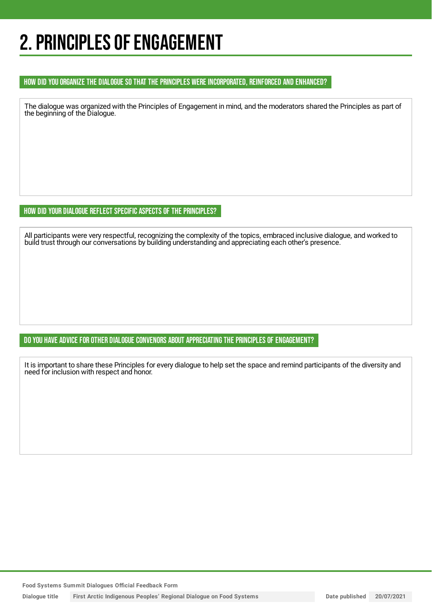## 2. PRINCIPLES OF ENGAGEMENT

#### HOW DID YOU ORGANIZE THE DIALOGUE SO THAT THE PRINCIPLES WERE INCORPORATED, REINFORCED AND ENHANCED?

The dialogue was organized with the Principles of Engagement in mind, and the moderators shared the Principles as part of the beginning of the Dialogue.

HOW DID YOUR DIALOGUE REFLECT SPECIFIC ASPECTS OF THE PRINCIPLES?

All participants were very respectful, recognizing the complexity of the topics, embraced inclusive dialogue, and worked to build trust through our conversations by building understanding and appreciating each other's presence.

DO YOU HAVE ADVICE FOR OTHER DIALOGUE CONVENORS ABOUT APPRECIATING THE PRINCIPLES OF ENGAGEMENT?

It is important to share these Principles for every dialogue to help set the space and remind participants of the diversity and need for inclusion with respect and honor.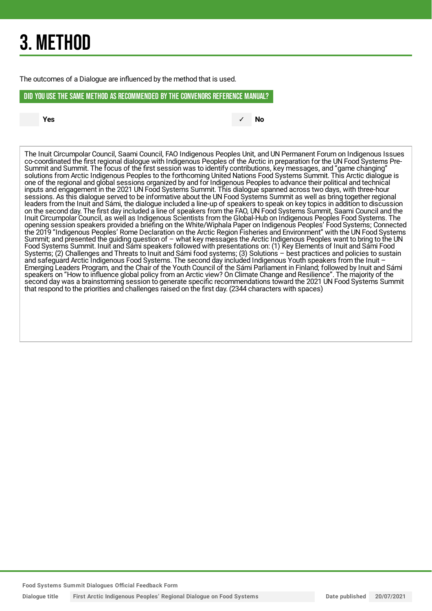## 3. METHOD

The outcomes of a Dialogue are influenced by the method that is used.

#### DID YOU USE THE SAME METHOD AS RECOMMENDED BYTHE CONVENORS REFERENCE MANUAL?

**Yes** ✓ **No**

The Inuit Circumpolar Council, Saami Council, FAO Indigenous Peoples Unit, and UN Permanent Forum on Indigenous Issues co-coordinated the first regional dialogue with Indigenous Peoples of the Arctic in preparation for the UN Food Systems Pre-Summit and Summit. The focus of the first session was to identify contributions, key messages, and "game changing" solutions from Arctic Indigenous Peoples to the forthcoming United Nations Food Systems Summit. This Arctic dialogue is one of the regional and global sessions organized by and for Indigenous Peoples to advance their political and technical inputs and engagement in the 2021 UN Food Systems Summit. This dialogue spanned across two days, with three-hour sessions. As this dialogue served to be informative about the UN Food Systems Summit as well as bring together regional leaders from the Inuit and Sámi, the dialogue included a line-up of speakers to speak on key topics in addition to discussion on the second day. The first day included a line of speakers from the FAO, UN Food Systems Summit, Saami Council and the Inuit Circumpolar Council, as well as Indigenous Scientists from the Global-Hub on Indigenous Peoples Food Systems. The opening session speakers provided a briefing on the White/Wiphala Paper on Indigenous Peoples' Food Systems; Connected the 2019 "Indigenous Peoples' Rome Declaration on the Arctic Region Fisheries and Environment" with the UN Food Systems Summit; and presented the guiding question of – what key messages the Arctic Indigenous Peoples want to bring to the UN Food Systems Summit. Inuit and Sámi speakers followed with presentations on: (1) Key Elements of Inuit and Sámi Food Systems; (2) Challenges and Threats to Inuit and Sámi food systems; (3) Solutions – best practices and policies to sustain and safeguard Arctic Indigenous Food Systems. The second day included Indigenous Youth speakers from the Inuit – Emerging Leaders Program, and the Chair of the Youth Council of the Sámi Parliament in Finland; followed by Inuit and Sámi speakers on "How to influence global policy from an Arctic view? On Climate Change and Resilience". The majority of the second day was a brainstorming session to generate specific recommendations toward the 2021 UN Food Systems Summit that respond to the priorities and challenges raised on the first day. (2344 characters with spaces)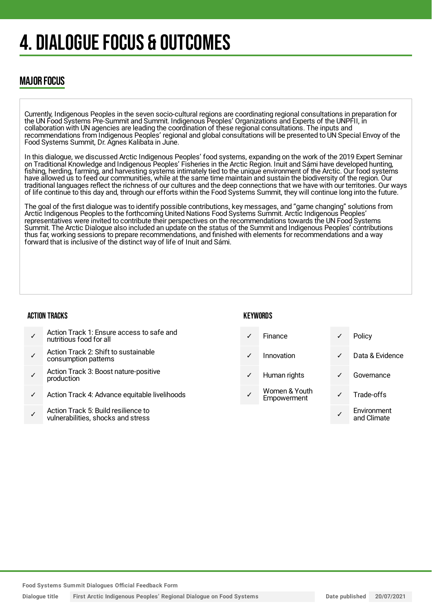## 4. DIALOGUE FOCUS & OUTCOMES

### MAJOR FOCUS

Currently, Indigenous Peoples in the seven socio-cultural regions are coordinating regional consultations in preparation for the UN Food Systems Pre-Summit and Summit. Indigenous Peoples' Organizations and Experts of the UNPFII, in collaboration with UN agencies are leading the coordination of these regional consultations. The inputs and recommendations from Indigenous Peoples' regional and global consultations will be presented to UN Special Envoy of the Food Systems Summit, Dr. Agnes Kalibata in June.

In this dialogue, we discussed Arctic Indigenous Peoples' food systems, expanding on the work of the 2019 Expert Seminar on Traditional Knowledge and Indigenous Peoples' Fisheries in the Arctic Region. Inuit and Sámi have developed hunting, fishing, herding, farming, and harvesting systems intimately tied to the unique environment of the Arctic. Our food systems have allowed us to feed our communities, while at the same time maintain and sustain the biodiversity of the region. Our traditional languages reflect the richness of our cultures and the deep connections that we have with our territories. Our ways of life continue to this day and, through our efforts within the Food Systems Summit, they will continue long into the future.

The goal of the first dialogue was to identify possible contributions, key messages, and "game changing" solutions from Arctic Indigenous Peoples to the forthcoming United Nations Food Systems Summit. Arctic Indigenous Peoples' representatives were invited to contribute their perspectives on the recommendations towards the UN Food Systems Summit. The Arctic Dialogue also included an update on the status of the Summit and Indigenous Peoples' contributions thus far, working sessions to prepare recommendations, and finished with elements for recommendations and a way forward that is inclusive of the distinct way of life of Inuit and Sámi.

#### ACTION TRACKS

#### **KEYWORDS**

| Action Track 1: Ensure access to safe and<br>nutritious food for all |
|----------------------------------------------------------------------|
|                                                                      |

- ✓ Action Track 2: Shift to sustainable consumption patterns
- ✓ Action Track 3: Boost nature-positive production
- Action Track 4: Advance equitable livelihoods
- ✓ Action Track 5: Build resilience to vulnerabilities, shocks and stress

|   | Finance                      |   | Policy                     |
|---|------------------------------|---|----------------------------|
|   | Innovation                   | ✓ | Data & Evidence            |
| ✓ | Human rights                 |   | Governance                 |
|   | Women & Youth<br>Empowerment |   | Trade-offs                 |
|   |                              |   | Environment<br>and Climate |
|   |                              |   |                            |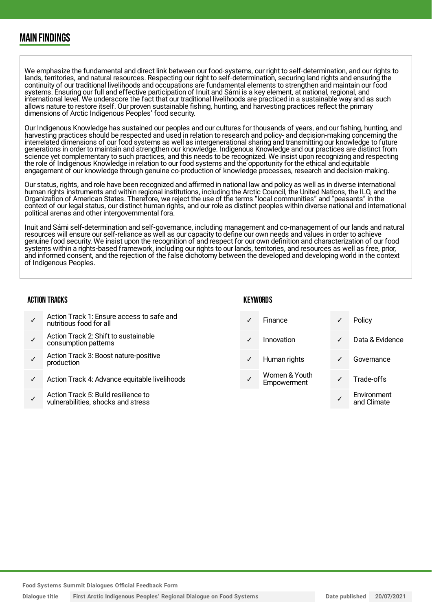### MAIN FINDINGS

We emphasize the fundamental and direct link between our food-systems, our right to self-determination, and our rights to lands, territories, and natural resources. Respecting our right to self-determination, securing land rights and ensuring the continuity of our traditional livelihoods and occupations are fundamental elements to strengthen and maintain our food systems. Ensuring our full and effective participation of Inuit and Sámi is a key element, at national, regional, and international level. We underscore the fact that our traditional livelihoods are practiced in a sustainable way and as such allows nature to restore itself. Our proven sustainable fishing, hunting, and harvesting practices reflect the primary dimensions of Arctic Indigenous Peoples' food security.

Our Indigenous Knowledge has sustained our peoples and our cultures for thousands of years, and our fishing, hunting, and harvesting practices should be respected and used in relation to research and policy- and decision-making concerning the interrelated dimensions of our food systems as well as intergenerational sharing and transmitting our knowledge to future generations in order to maintain and strengthen our knowledge. Indigenous Knowledge and our practices are distinct from science yet complementary to such practices, and this needs to be recognized. We insist upon recognizing and respecting the role of Indigenous Knowledge in relation to our food systems and the opportunity for the ethical and equitable engagement of our knowledge through genuine co-production of knowledge processes, research and decision-making.

Our status, rights, and role have been recognized and affirmed in national law and policy as well as in diverse international human rights instruments and within regional institutions, including the Arctic Council, the United Nations, the ILO, and the Organization of American States. Therefore, we reject the use of the terms "local communities" and "peasants" in the context of our legal status, our distinct human rights, and our role as distinct peoples within diverse national and international political arenas and other intergovernmental fora.

Inuit and Sámi self-determination and self-governance, including management and co-management of our lands and natural resources will ensure our self-reliance as well as our capacity to define our own needs and values in order to achieve genuine food security. We insist upon the recognition of and respect for our own definition and characterization of our food systems within a rights-based framework, including our rights to our lands, territories, and resources as well as free, prior, and informed consent, and the rejection of the false dichotomy between the developed and developing world in the context of Indigenous Peoples.

#### ACTION TRACKS

- ✓ Action Track 1: Ensure access to safe and nutritious food for all
- ✓ Action Track 2: Shift to sustainable consumption patterns
- ✓ Action Track 3: Boost nature-positive production
- Action Track 4: Advance equitable livelihoods
- ✓ Action Track 5: Build resilience to vulnerabilities, shocks and stress

#### **KEYWORDS**

|   | Finance                      |   | Policy                     |
|---|------------------------------|---|----------------------------|
|   | Innovation                   |   | Data & Evidence            |
| ✓ | Human rights                 | ✓ | Governance                 |
|   | Women & Youth<br>Empowerment |   | Trade-offs                 |
|   |                              |   | Environment<br>and Climate |

**Food Systems Summit Dialogues Official Feedback Form**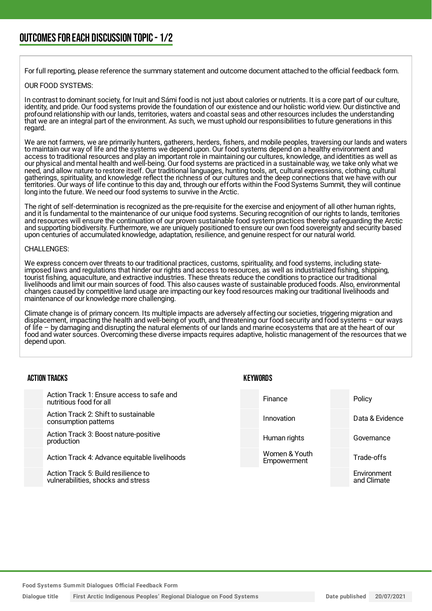For full reporting, please reference the summary statement and outcome document attached to the official feedback form.

#### OUR FOOD SYSTEMS:

In contrast to dominant society, for Inuit and Sámi food is not just about calories or nutrients. It is a core part of our culture, identity, and pride. Our food systems provide the foundation of our existence and our holistic world view. Our distinctive and profound relationship with our lands, territories, waters and coastal seas and other resources includes the understanding that we are an integral part of the environment. As such, we must uphold our responsibilities to future generations in this regard.

We are not farmers, we are primarily hunters, gatherers, herders, fishers, and mobile peoples, traversing our lands and waters to maintain our way of life and the systems we depend upon. Our food systems depend on a healthy environment and access to traditional resources and play an important role in maintaining our cultures, knowledge, and identities as well as our physical and mental health and well-being. Our food systems are practiced in a sustainable way, we take only what we need, and allow nature to restore itself. Our traditional languages, hunting tools, art, cultural expressions, clothing, cultural gatherings, spirituality, and knowledge reflect the richness of our cultures and the deep connections that we have with our territories. Our ways of life continue to this day and, through our efforts within the Food Systems Summit, they will continue long into the future. We need our food systems to survive in the Arctic.

The right of self-determination is recognized as the pre-requisite for the exercise and enjoyment of all other human rights, and it is fundamental to the maintenance of our unique food systems. Securing recognition of our rights to lands, territories and resources will ensure the continuation of our proven sustainable food system practices thereby safeguarding the Arctic and supporting biodiversity. Furthermore, we are uniquely positioned to ensure our own food sovereignty and security based upon centuries of accumulated knowledge, adaptation, resilience, and genuine respect for our natural world.

#### CHALLENGES:

We express concern over threats to our traditional practices, customs, spirituality, and food systems, including stateimposed laws and regulations that hinder our rights and access to resources, as well as industrialized fishing, shipping, tourist fishing, aquaculture, and extractive industries. These threats reduce the conditions to practice our traditional livelihoods and limit our main sources of food. This also causes waste of sustainable produced foods. Also, environmental changes caused by competitive land usage are impacting our key food resources making our traditional livelihoods and maintenance of our knowledge more challenging.

Climate change is of primary concern. Its multiple impacts are adversely affecting our societies, triggering migration and displacement, impacting the health and well-being of youth, and threatening our food security and food systems – our ways of life – by damaging and disrupting the natural elements of our lands and marine ecosystems that are at the heart of our food and water sources. Overcoming these diverse impacts requires adaptive, holistic management of the resources that we depend upon.

| <b>ACTION TRACKS</b>                                                      | KEYWORDS |                              |                            |
|---------------------------------------------------------------------------|----------|------------------------------|----------------------------|
| Action Track 1: Ensure access to safe and<br>nutritious food for all      |          | Finance                      | Policy                     |
| Action Track 2: Shift to sustainable<br>consumption patterns              |          | Innovation                   | Data & Evidence            |
| Action Track 3: Boost nature-positive<br>production                       |          | Human rights                 | Governance                 |
| Action Track 4: Advance equitable livelihoods                             |          | Women & Youth<br>Empowerment | Trade-offs                 |
| Action Track 5: Build resilience to<br>vulnerabilities, shocks and stress |          |                              | Environment<br>and Climate |

**Food Systems Summit Dialogues Official Feedback Form**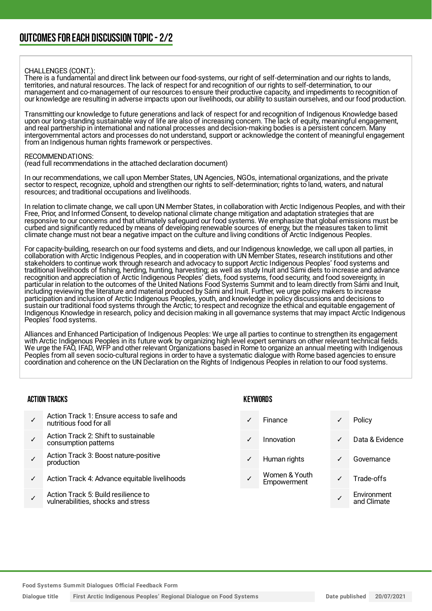#### CHALLENGES (CONT.):

There is a fundamental and direct link between our food-systems, our right of self-determination and our rights to lands, territories, and natural resources. The lack of respect for and recognition of our rights to self-determination, to our management and co-management of our resources to ensure their productive capacity, and impediments to recognition of our knowledge are resulting in adverse impacts upon our livelihoods, our ability to sustain ourselves, and our food production.

Transmitting our knowledge to future generations and lack of respect for and recognition of Indigenous Knowledge based upon our long-standing sustainable way of life are also of increasing concern. The lack of equity, meaningful engagement, and real partnership in international and national processes and decision-making bodies is a persistent concern. Many intergovernmental actors and processes do not understand, support or acknowledge the content of meaningful engagement from an Indigenous human rights framework or perspectives.

#### RECOMMENDATIONS:

(read full recommendations in the attached declaration document)

In our recommendations, we call upon Member States, UN Agencies, NGOs, international organizations, and the private sector to respect, recognize, uphold and strengthen our rights to self-determination; rights to land, waters, and natural resources; and traditional occupations and livelihoods.

In relation to climate change, we call upon UN Member States, in collaboration with Arctic Indigenous Peoples, and with their Free, Prior, and Informed Consent, to develop national climate change mitigation and adaptation strategies that are responsive to our concerns and that ultimately safeguard our food systems. We emphasize that global emissions must be curbed and significantly reduced by means of developing renewable sources of energy, but the measures taken to limit climate change must not bear a negative impact on the culture and living conditions of Arctic Indigenous Peoples.

For capacity-building, research on our food systems and diets, and our Indigenous knowledge, we call upon all parties, in collaboration with Arctic Indigenous Peoples, and in cooperation with UN Member States, research institutions and other stakeholders to continue work through research and advocacy to support Arctic Indigenous Peoples' food systems and traditional livelihoods of fishing, herding, hunting, harvesting; as well as study Inuit and Sámi diets to increase and advance recognition and appreciation of Arctic Indigenous Peoples' diets, food systems, food security, and food sovereignty, in particular in relation to the outcomes of the United Nations Food Systems Summit and to learn directly from Sámi and Inuit, including reviewing the literature and material produced by Sámi and Inuit. Further, we urge policy makers to increase participation and inclusion of Arctic Indigenous Peoples, youth, and knowledge in policy discussions and decisions to sustain our traditional food systems through the Arctic; to respect and recognize the ethical and equitable engagement of Indigenous Knowledge in research, policy and decision making in all governance systems that may impact Arctic Indigenous Peoples' food systems.

Alliances and Enhanced Participation of Indigenous Peoples: We urge all parties to continue to strengthen its engagement with Arctic Indigenous Peoples in its future work by organizing high level expert seminars on other relevant technical fields. We urge the FAO, IFAD, WFP and other relevant Organizations based in Rome to organize an annual meeting with Indigenous Peoples from all seven socio-cultural regions in order to have a systematic dialogue with Rome based agencies to ensure coordination and coherence on the UN Declaration on the Rights of Indigenous Peoples in relation to our food systems.

#### ACTION TRACKS

- ✓ Action Track 1: Ensure access to safe and nutritious food for all
- ✓ Action Track 2: Shift to sustainable consumption patterns
- ✓ Action Track 3: Boost nature-positive production
- Action Track 4: Advance equitable livelihoods
- ✓ Action Track 5: Build resilience to vulnerabilities, shocks and stress

#### KEYWORDS

|              | Finance                      |   | Policy                     |
|--------------|------------------------------|---|----------------------------|
|              | Innovation                   | ✓ | Data & Evidence            |
| $\checkmark$ | Human rights                 |   | Governance                 |
|              | Women & Youth<br>Empowerment |   | Trade-offs                 |
|              |                              |   | Environment<br>and Climate |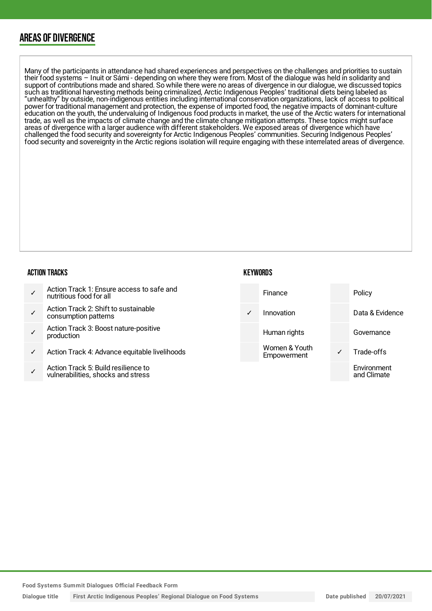### AREAS OF DIVERGENCE

Many of the participants in attendance had shared experiences and perspectives on the challenges and priorities to sustain their food systems – Inuit or Sámi - depending on where they were from. Most of the dialogue was held in solidarity and support of contributions made and shared. So while there were no areas of divergence in our dialogue, we discussed topics such as traditional harvesting methods being criminalized, Arctic Indigenous Peoples' traditional diets being labeled as "unhealthy" by outside, non-indigenous entities including international conservation organizations, lack of access to political power for traditional management and protection, the expense of imported food, the negative impacts of dominant-culture education on the youth, the undervaluing of Indigenous food products in market, the use of the Arctic waters for international trade, as well as the impacts of climate change and the climate change mitigation attempts. These topics might surface areas of divergence with a larger audience with different stakeholders. We exposed areas of divergence which have challenged the food security and sovereignty for Arctic Indigenous Peoples' communities. Securing Indigenous Peoples' food security and sovereignty in the Arctic regions isolation will require engaging with these interrelated areas of divergence.

#### ACTION TRACKS

| Action Track 1: Ensure access to safe and<br>nutritious food for all |
|----------------------------------------------------------------------|
|----------------------------------------------------------------------|

- ✓ Action Track 2: Shift to sustainable consumption patterns
- ✓ Action Track 3: Boost nature-positive production
- Action Track 4: Advance equitable livelihoods
- ✓ Action Track 5: Build resilience to vulnerabilities, shocks and stress